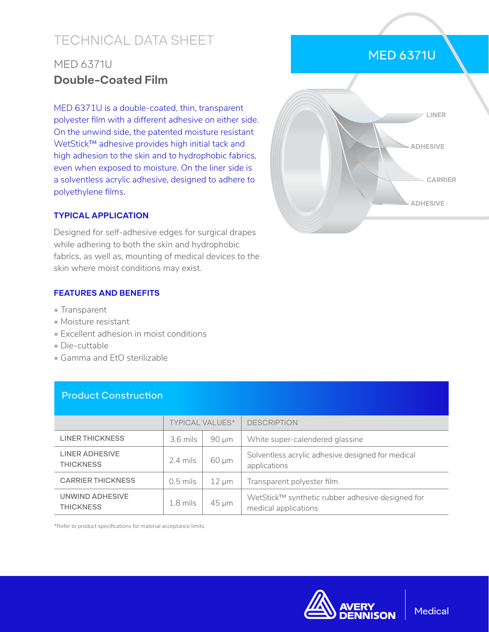# TECHNICAL DATA SHEET

## MED 6371U **Double-Coated Film**

MED 6371U is a double-coated, thin, transparent polyester film with a different adhesive on either side. On the unwind side, the patented moisture resistant WetStick™ adhesive provides high initial tack and high adhesion to the skin and to hydrophobic fabrics, even when exposed to moisture. On the liner side is a solventless acrylic adhesive, designed to adhere to polyethylene films.

### **TYPICAL APPLICATION**

Designed for self-adhesive edges for surgical drapes while adhering to both the skin and hydrophobic fabrics, as well as, mounting of medical devices to the skin where moist conditions may exist.

#### **FEATURES AND BENEFITS**

- Transparent
- Moisture resistant
- Excellent adhesion in moist conditions
- Die-cuttable
- Gamma and EtO sterilizable

Product Construction

|                                           | <b>TYPICAL VALUES*</b> |            | <b>DESCRIPTION</b>                                                       |
|-------------------------------------------|------------------------|------------|--------------------------------------------------------------------------|
| <b>LINER THICKNESS</b>                    | $3.6$ mils             | $90 \mu m$ | White super-calendered glassine                                          |
| <b>LINER ADHESIVE</b><br><b>THICKNESS</b> | $2.4$ mils             | $60 \mu m$ | Solventless acrylic adhesive designed for medical<br>applications        |
| <b>CARRIER THICKNESS</b>                  | $0.5$ mils             | $12 \mu m$ | Transparent polyester film                                               |
| UNWIND ADHESIVE<br><b>THICKNESS</b>       | $1.8$ mils             | 45 µm      | WetStick™ synthetic rubber adhesive designed for<br>medical applications |

#### \*Refer to product specifications for material acceptance limits.



## MED 6371U



#### **Medical**